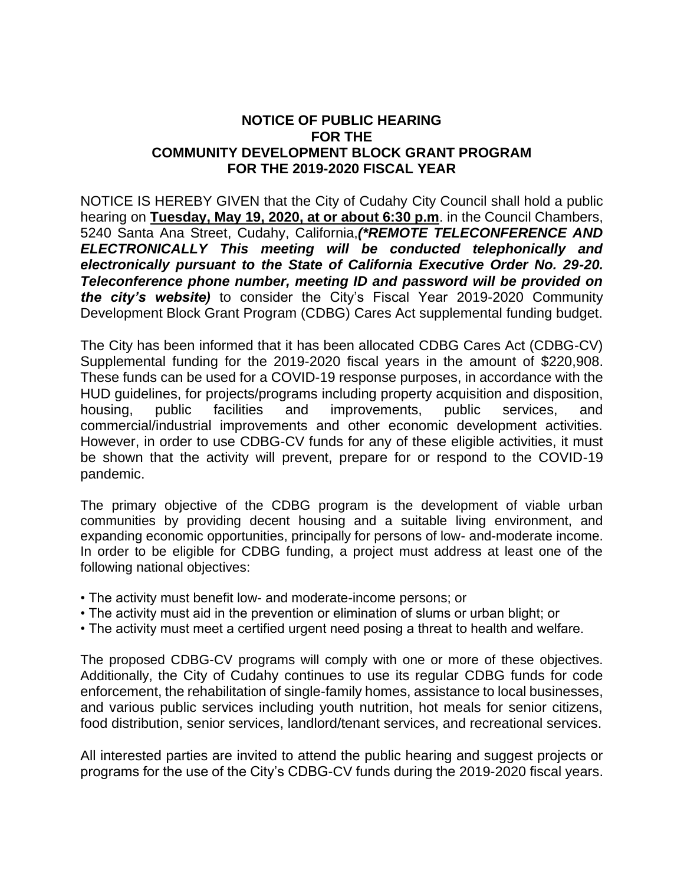## **NOTICE OF PUBLIC HEARING FOR THE COMMUNITY DEVELOPMENT BLOCK GRANT PROGRAM FOR THE 2019-2020 FISCAL YEAR**

NOTICE IS HEREBY GIVEN that the City of Cudahy City Council shall hold a public hearing on **Tuesday, May 19, 2020, at or about 6:30 p.m**. in the Council Chambers, 5240 Santa Ana Street, Cudahy, California,*(\*REMOTE TELECONFERENCE AND ELECTRONICALLY This meeting will be conducted telephonically and electronically pursuant to the State of California Executive Order No. 29-20. Teleconference phone number, meeting ID and password will be provided on the city's website)* to consider the City's Fiscal Year 2019-2020 Community Development Block Grant Program (CDBG) Cares Act supplemental funding budget.

The City has been informed that it has been allocated CDBG Cares Act (CDBG-CV) Supplemental funding for the 2019-2020 fiscal years in the amount of \$220,908. These funds can be used for a COVID-19 response purposes, in accordance with the HUD guidelines, for projects/programs including property acquisition and disposition, housing, public facilities and improvements, public services, and commercial/industrial improvements and other economic development activities. However, in order to use CDBG-CV funds for any of these eligible activities, it must be shown that the activity will prevent, prepare for or respond to the COVID-19 pandemic.

The primary objective of the CDBG program is the development of viable urban communities by providing decent housing and a suitable living environment, and expanding economic opportunities, principally for persons of low- and-moderate income. In order to be eligible for CDBG funding, a project must address at least one of the following national objectives:

- The activity must benefit low- and moderate-income persons; or
- The activity must aid in the prevention or elimination of slums or urban blight; or
- The activity must meet a certified urgent need posing a threat to health and welfare.

The proposed CDBG-CV programs will comply with one or more of these objectives. Additionally, the City of Cudahy continues to use its regular CDBG funds for code enforcement, the rehabilitation of single-family homes, assistance to local businesses, and various public services including youth nutrition, hot meals for senior citizens, food distribution, senior services, landlord/tenant services, and recreational services.

All interested parties are invited to attend the public hearing and suggest projects or programs for the use of the City's CDBG-CV funds during the 2019-2020 fiscal years.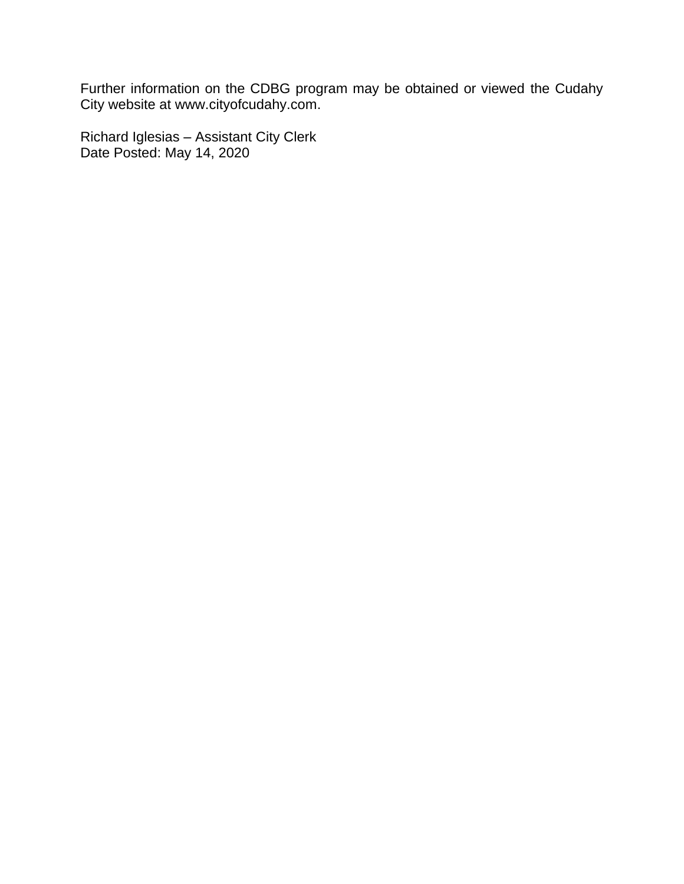Further information on the CDBG program may be obtained or viewed the Cudahy City website at www.cityofcudahy.com.

Richard Iglesias – Assistant City Clerk Date Posted: May 14, 2020